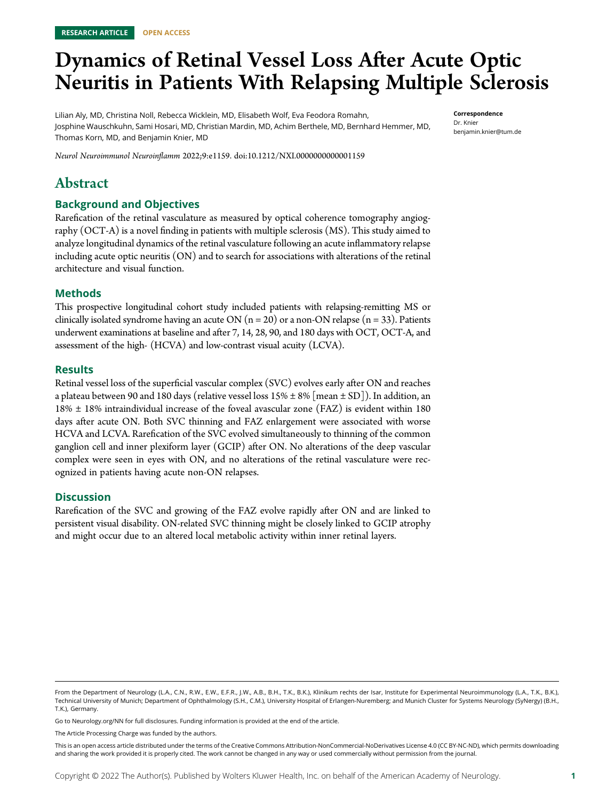# Dynamics of Retinal Vessel Loss After Acute Optic Neuritis in Patients With Relapsing Multiple Sclerosis

Lilian Aly, MD, Christina Noll, Rebecca Wicklein, MD, Elisabeth Wolf, Eva Feodora Romahn, Josphine Wauschkuhn, Sami Hosari, MD, Christian Mardin, MD, Achim Berthele, MD, Bernhard Hemmer, MD, Thomas Korn, MD, and Benjamin Knier, MD

Correspondence Dr. Knier [benjamin.knier@tum.de](mailto:benjamin.knier@tum.de)

Neurol Neuroimmunol Neuroinflamm 2022;9:e1159. doi[:10.1212/NXI.0000000000001159](http://dx.doi.org/10.1212/NXI.0000000000001159)

# Abstract

### Background and Objectives

Rarefication of the retinal vasculature as measured by optical coherence tomography angiography (OCT-A) is a novel finding in patients with multiple sclerosis (MS). This study aimed to analyze longitudinal dynamics of the retinal vasculature following an acute inflammatory relapse including acute optic neuritis (ON) and to search for associations with alterations of the retinal architecture and visual function.

### Methods

This prospective longitudinal cohort study included patients with relapsing-remitting MS or clinically isolated syndrome having an acute ON ( $n = 20$ ) or a non-ON relapse ( $n = 33$ ). Patients underwent examinations at baseline and after 7, 14, 28, 90, and 180 days with OCT, OCT-A, and assessment of the high- (HCVA) and low-contrast visual acuity (LCVA).

### Results

Retinal vessel loss of the superficial vascular complex (SVC) evolves early after ON and reaches a plateau between 90 and 180 days (relative vessel loss  $15% \pm 8%$  [mean  $\pm$  SD]). In addition, an 18% ± 18% intraindividual increase of the foveal avascular zone (FAZ) is evident within 180 days after acute ON. Both SVC thinning and FAZ enlargement were associated with worse HCVA and LCVA. Rarefication of the SVC evolved simultaneously to thinning of the common ganglion cell and inner plexiform layer (GCIP) after ON. No alterations of the deep vascular complex were seen in eyes with ON, and no alterations of the retinal vasculature were recognized in patients having acute non-ON relapses.

### **Discussion**

Rarefication of the SVC and growing of the FAZ evolve rapidly after ON and are linked to persistent visual disability. ON-related SVC thinning might be closely linked to GCIP atrophy and might occur due to an altered local metabolic activity within inner retinal layers.

Go to [Neurology.org/NN](https://nn.neurology.org/content/9/3/e1159/tab-article-info) for full disclosures. Funding information is provided at the end of the article.

The Article Processing Charge was funded by the authors.

From the Department of Neurology (L.A., C.N., R.W., E.W., E.F.R., J.W., A.B., B.H., T.K., B.K.), Klinikum rechts der Isar, Institute for Experimental Neuroimmunology (L.A., T.K., B.K.), Technical University of Munich; Department of Ophthalmology (S.H., C.M.), University Hospital of Erlangen-Nuremberg; and Munich Cluster for Systems Neurology (SyNergy) (B.H., T.K.), Germany.

This is an open access article distributed under the terms of the [Creative Commons Attribution-NonCommercial-NoDerivatives License 4.0 \(CC BY-NC-ND\),](http://creativecommons.org/licenses/by-nc-nd/4.0/) which permits downloading and sharing the work provided it is properly cited. The work cannot be changed in any way or used commercially without permission from the journal.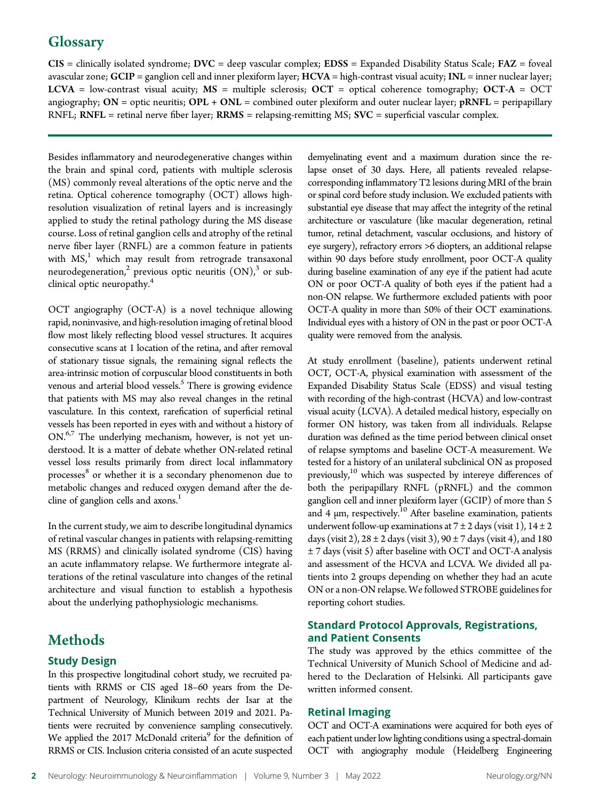# **Glossary**

 $CIS =$  clinically isolated syndrome;  $DVC =$  deep vascular complex;  $EDSS =$  Expanded Disability Status Scale;  $FAZ =$  foveal avascular zone;  $GCIP =$  ganglion cell and inner plexiform layer;  $HCVA =$  high-contrast visual acuity;  $INL =$  inner nuclear layer; LCVA = low-contrast visual acuity;  $MS =$  multiple sclerosis;  $OCT =$  optical coherence tomography;  $OCT-A = OCT$ angiography;  $ON =$  optic neuritis;  $OPL + ONL =$  combined outer plexiform and outer nuclear layer;  $pRNFL =$  peripapillary  $RNFL$ ;  $RNFL$  = retinal nerve fiber layer;  $RRMS$  = relapsing-remitting MS;  $SVC$  = superficial vascular complex.

Besides inflammatory and neurodegenerative changes within the brain and spinal cord, patients with multiple sclerosis (MS) commonly reveal alterations of the optic nerve and the retina. Optical coherence tomography (OCT) allows highresolution visualization of retinal layers and is increasingly applied to study the retinal pathology during the MS disease course. Loss of retinal ganglion cells and atrophy of the retinal nerve fiber layer (RNFL) are a common feature in patients with  $MS<sub>i</sub><sup>1</sup>$  which may result from retrograde transaxonal neurodegeneration,<sup>2</sup> previous optic neuritis  $(ON)_1^3$  or subclinical optic neuropathy.<sup>4</sup>

OCT angiography (OCT-A) is a novel technique allowing rapid, noninvasive, and high-resolution imaging of retinal blood flow most likely reflecting blood vessel structures. It acquires consecutive scans at 1 location of the retina, and after removal of stationary tissue signals, the remaining signal reflects the area-intrinsic motion of corpuscular blood constituents in both venous and arterial blood vessels.<sup>5</sup> There is growing evidence that patients with MS may also reveal changes in the retinal vasculature. In this context, rarefication of superficial retinal vessels has been reported in eyes with and without a history of ON.<sup>6,7</sup> The underlying mechanism, however, is not yet understood. It is a matter of debate whether ON-related retinal vessel loss results primarily from direct local inflammatory processes<sup>8</sup> or whether it is a secondary phenomenon due to metabolic changes and reduced oxygen demand after the decline of ganglion cells and axons.<sup>1</sup>

In the current study, we aim to describe longitudinal dynamics of retinal vascular changes in patients with relapsing-remitting MS (RRMS) and clinically isolated syndrome (CIS) having an acute inflammatory relapse. We furthermore integrate alterations of the retinal vasculature into changes of the retinal architecture and visual function to establish a hypothesis about the underlying pathophysiologic mechanisms.

# Methods

### Study Design

In this prospective longitudinal cohort study, we recruited patients with RRMS or CIS aged 18–60 years from the Department of Neurology, Klinikum rechts der Isar at the Technical University of Munich between 2019 and 2021. Patients were recruited by convenience sampling consecutively. We applied the 2017 McDonald criteria<sup>9</sup> for the definition of RRMS or CIS. Inclusion criteria consisted of an acute suspected demyelinating event and a maximum duration since the relapse onset of 30 days. Here, all patients revealed relapsecorresponding inflammatory T2 lesions during MRI of the brain or spinal cord before study inclusion. We excluded patients with substantial eye disease that may affect the integrity of the retinal architecture or vasculature (like macular degeneration, retinal tumor, retinal detachment, vascular occlusions, and history of eye surgery), refractory errors >6 diopters, an additional relapse within 90 days before study enrollment, poor OCT-A quality during baseline examination of any eye if the patient had acute ON or poor OCT-A quality of both eyes if the patient had a non-ON relapse. We furthermore excluded patients with poor OCT-A quality in more than 50% of their OCT examinations. Individual eyes with a history of ON in the past or poor OCT-A quality were removed from the analysis.

At study enrollment (baseline), patients underwent retinal OCT, OCT-A, physical examination with assessment of the Expanded Disability Status Scale (EDSS) and visual testing with recording of the high-contrast (HCVA) and low-contrast visual acuity (LCVA). A detailed medical history, especially on former ON history, was taken from all individuals. Relapse duration was defined as the time period between clinical onset of relapse symptoms and baseline OCT-A measurement. We tested for a history of an unilateral subclinical ON as proposed previously,<sup>10</sup> which was suspected by intereye differences of both the peripapillary RNFL (pRNFL) and the common ganglion cell and inner plexiform layer (GCIP) of more than 5 and 4  $\mu$ m, respectively.<sup>10</sup> After baseline examination, patients underwent follow-up examinations at  $7 \pm 2$  days (visit 1),  $14 \pm 2$ days (visit 2),  $28 \pm 2$  days (visit 3),  $90 \pm 7$  days (visit 4), and 180 ± 7 days (visit 5) after baseline with OCT and OCT-A analysis and assessment of the HCVA and LCVA. We divided all patients into 2 groups depending on whether they had an acute ON or a non-ON relapse. We followed STROBE guidelines for reporting cohort studies.

### Standard Protocol Approvals, Registrations, and Patient Consents

The study was approved by the ethics committee of the Technical University of Munich School of Medicine and adhered to the Declaration of Helsinki. All participants gave written informed consent.

### Retinal Imaging

OCT and OCT-A examinations were acquired for both eyes of each patient under low lighting conditions using a spectral-domain OCT with angiography module (Heidelberg Engineering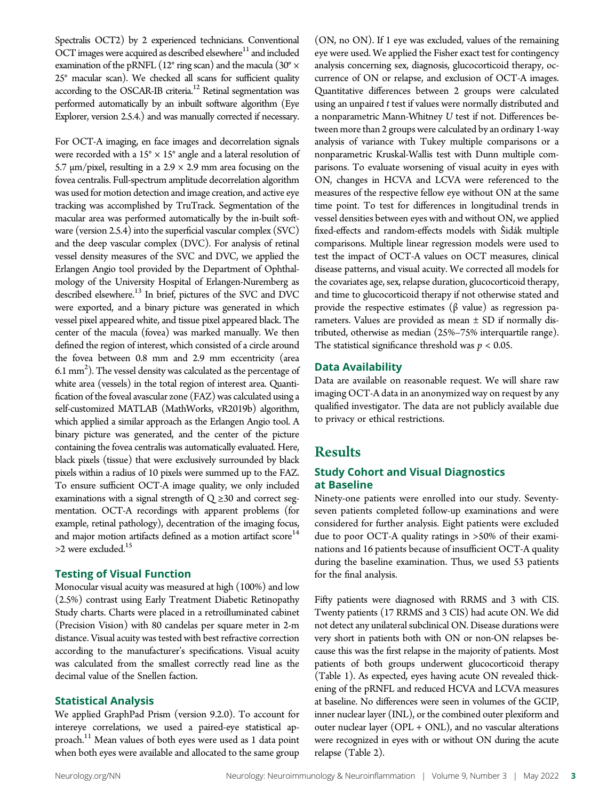Spectralis OCT2) by 2 experienced technicians. Conventional OCT images were acquired as described elsewhere<sup>11</sup> and included examination of the pRNFL (12 $\degree$  ring scan) and the macula (30 $\degree$  × 25° macular scan). We checked all scans for sufficient quality according to the OSCAR-IB criteria.<sup>12</sup> Retinal segmentation was performed automatically by an inbuilt software algorithm (Eye Explorer, version 2.5.4.) and was manually corrected if necessary.

For OCT-A imaging, en face images and decorrelation signals were recorded with a  $15^{\circ} \times 15^{\circ}$  angle and a lateral resolution of 5.7 μm/pixel, resulting in a 2.9  $\times$  2.9 mm area focusing on the fovea centralis. Full-spectrum amplitude decorrelation algorithm was used for motion detection and image creation, and active eye tracking was accomplished by TruTrack. Segmentation of the macular area was performed automatically by the in-built software (version 2.5.4) into the superficial vascular complex (SVC) and the deep vascular complex (DVC). For analysis of retinal vessel density measures of the SVC and DVC, we applied the Erlangen Angio tool provided by the Department of Ophthalmology of the University Hospital of Erlangen-Nuremberg as described elsewhere.<sup>13</sup> In brief, pictures of the SVC and DVC were exported, and a binary picture was generated in which vessel pixel appeared white, and tissue pixel appeared black. The center of the macula (fovea) was marked manually. We then defined the region of interest, which consisted of a circle around the fovea between 0.8 mm and 2.9 mm eccentricity (area 6.1 mm<sup>2</sup>). The vessel density was calculated as the percentage of white area (vessels) in the total region of interest area. Quantification of the foveal avascular zone (FAZ) was calculated using a self-customized MATLAB (MathWorks, vR2019b) algorithm, which applied a similar approach as the Erlangen Angio tool. A binary picture was generated, and the center of the picture containing the fovea centralis was automatically evaluated. Here, black pixels (tissue) that were exclusively surrounded by black pixels within a radius of 10 pixels were summed up to the FAZ. To ensure sufficient OCT-A image quality, we only included examinations with a signal strength of  $Q \geq 30$  and correct segmentation. OCT-A recordings with apparent problems (for example, retinal pathology), decentration of the imaging focus, and major motion artifacts defined as a motion artifact score<sup>14</sup> >2 were excluded.15

### Testing of Visual Function

Monocular visual acuity was measured at high (100%) and low (2.5%) contrast using Early Treatment Diabetic Retinopathy Study charts. Charts were placed in a retroilluminated cabinet (Precision Vision) with 80 candelas per square meter in 2-m distance. Visual acuity was tested with best refractive correction according to the manufacturer's specifications. Visual acuity was calculated from the smallest correctly read line as the decimal value of the Snellen faction.

### Statistical Analysis

We applied GraphPad Prism (version 9.2.0). To account for intereye correlations, we used a paired-eye statistical approach.<sup>11</sup> Mean values of both eyes were used as 1 data point when both eyes were available and allocated to the same group

(ON, no ON). If 1 eye was excluded, values of the remaining eye were used. We applied the Fisher exact test for contingency analysis concerning sex, diagnosis, glucocorticoid therapy, occurrence of ON or relapse, and exclusion of OCT-A images. Quantitative differences between 2 groups were calculated using an unpaired t test if values were normally distributed and a nonparametric Mann-Whitney U test if not. Differences between more than 2 groups were calculated by an ordinary 1-way analysis of variance with Tukey multiple comparisons or a nonparametric Kruskal-Wallis test with Dunn multiple comparisons. To evaluate worsening of visual acuity in eyes with ON, changes in HCVA and LCVA were referenced to the measures of the respective fellow eye without ON at the same time point. To test for differences in longitudinal trends in vessel densities between eyes with and without ON, we applied fixed-effects and random-effects models with Sidák multiple comparisons. Multiple linear regression models were used to test the impact of OCT-A values on OCT measures, clinical disease patterns, and visual acuity. We corrected all models for the covariates age, sex, relapse duration, glucocorticoid therapy, and time to glucocorticoid therapy if not otherwise stated and provide the respective estimates (β value) as regression parameters. Values are provided as mean  $\pm$  SD if normally distributed, otherwise as median (25%–75% interquartile range). The statistical significance threshold was  $p < 0.05$ .

### Data Availability

Data are available on reasonable request. We will share raw imaging OCT-A data in an anonymized way on request by any qualified investigator. The data are not publicly available due to privacy or ethical restrictions.

### **Results**

### Study Cohort and Visual Diagnostics at Baseline

Ninety-one patients were enrolled into our study. Seventyseven patients completed follow-up examinations and were considered for further analysis. Eight patients were excluded due to poor OCT-A quality ratings in >50% of their examinations and 16 patients because of insufficient OCT-A quality during the baseline examination. Thus, we used 53 patients for the final analysis.

Fifty patients were diagnosed with RRMS and 3 with CIS. Twenty patients (17 RRMS and 3 CIS) had acute ON. We did not detect any unilateral subclinical ON. Disease durations were very short in patients both with ON or non-ON relapses because this was the first relapse in the majority of patients. Most patients of both groups underwent glucocorticoid therapy (Table 1). As expected, eyes having acute ON revealed thickening of the pRNFL and reduced HCVA and LCVA measures at baseline. No differences were seen in volumes of the GCIP, inner nuclear layer (INL), or the combined outer plexiform and outer nuclear layer (OPL + ONL), and no vascular alterations were recognized in eyes with or without ON during the acute relapse (Table 2).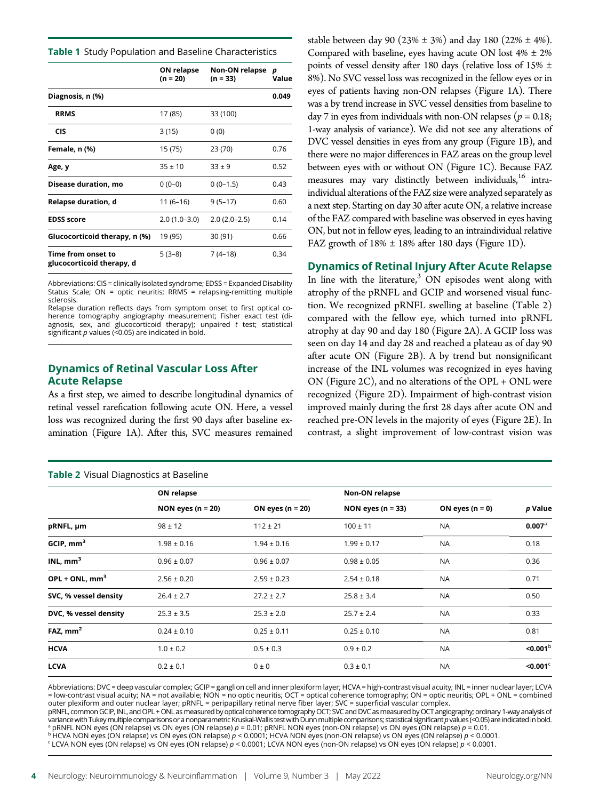Table 1 Study Population and Baseline Characteristics

|                                                 | <b>ON relapse</b><br>$(n = 20)$ | <b>Non-ON relapse</b><br>$(n = 33)$ | р<br>Value |
|-------------------------------------------------|---------------------------------|-------------------------------------|------------|
| Diagnosis, n (%)                                |                                 |                                     | 0.049      |
| <b>RRMS</b>                                     | 17 (85)                         | 33 (100)                            |            |
| <b>CIS</b>                                      | 3(15)                           | 0(0)                                |            |
| Female, n (%)                                   | 15 (75)                         | 23 (70)                             | 0.76       |
| Age, y                                          | $35 + 10$                       | $33 \pm 9$                          | 0.52       |
| Disease duration, mo                            | $0(0-0)$                        | $0(0-1.5)$                          | 0.43       |
| Relapse duration, d                             | $11(6-16)$                      | $9(5-17)$                           | 0.60       |
| <b>EDSS score</b>                               | $2.0(1.0-3.0)$                  | $2.0(2.0-2.5)$                      | 0.14       |
| Glucocorticoid therapy, n (%)                   | 19 (95)                         | 30 (91)                             | 0.66       |
| Time from onset to<br>glucocorticoid therapy, d | $5(3-8)$                        | $7(4-18)$                           | 0.34       |

Abbreviations: CIS = clinically isolated syndrome; EDSS = Expanded Disability Status Scale; ON = optic neuritis; RRMS = relapsing-remitting multiple sclerosis.

Relapse duration reflects days from symptom onset to first optical coherence tomography angiography measurement; Fisher exact test (diagnosis, sex, and glucocorticoid therapy); unpaired  $t$  test; statistical significant  $p$  values (<0.05) are indicated in bold.

### Dynamics of Retinal Vascular Loss After Acute Relapse

As a first step, we aimed to describe longitudinal dynamics of retinal vessel rarefication following acute ON. Here, a vessel loss was recognized during the first 90 days after baseline examination (Figure 1A). After this, SVC measures remained

### Table 2 Visual Diagnostics at Baseline

stable between day 90 (23%  $\pm$  3%) and day 180 (22%  $\pm$  4%). Compared with baseline, eyes having acute ON lost  $4\% \pm 2\%$ points of vessel density after 180 days (relative loss of 15% ± 8%). No SVC vessel loss was recognized in the fellow eyes or in eyes of patients having non-ON relapses (Figure 1A). There was a by trend increase in SVC vessel densities from baseline to day 7 in eyes from individuals with non-ON relapses ( $p = 0.18$ ; 1-way analysis of variance). We did not see any alterations of DVC vessel densities in eyes from any group (Figure 1B), and there were no major differences in FAZ areas on the group level between eyes with or without ON (Figure 1C). Because FAZ measures may vary distinctly between individuals,<sup>16</sup> intraindividual alterations of the FAZ size were analyzed separately as a next step. Starting on day 30 after acute ON, a relative increase of the FAZ compared with baseline was observed in eyes having ON, but not in fellow eyes, leading to an intraindividual relative FAZ growth of  $18\% \pm 18\%$  after 180 days (Figure 1D).

### Dynamics of Retinal Injury After Acute Relapse

In line with the literature, $3$  ON episodes went along with atrophy of the pRNFL and GCIP and worsened visual function. We recognized pRNFL swelling at baseline (Table 2) compared with the fellow eye, which turned into pRNFL atrophy at day 90 and day 180 (Figure 2A). A GCIP loss was seen on day 14 and day 28 and reached a plateau as of day 90 after acute ON (Figure 2B). A by trend but nonsignificant increase of the INL volumes was recognized in eyes having ON (Figure 2C), and no alterations of the OPL + ONL were recognized (Figure 2D). Impairment of high-contrast vision improved mainly during the first 28 days after acute ON and reached pre-ON levels in the majority of eyes (Figure 2E). In contrast, a slight improvement of low-contrast vision was

| <b>Table 2</b> Visual Diagnostics at Baseline |                       |                    |                       |                   |                         |  |
|-----------------------------------------------|-----------------------|--------------------|-----------------------|-------------------|-------------------------|--|
|                                               | ON relapse            |                    | Non-ON relapse        |                   |                         |  |
|                                               | NON eyes ( $n = 20$ ) | ON eyes $(n = 20)$ | NON eyes ( $n = 33$ ) | ON eyes $(n = 0)$ | p Value                 |  |
| pRNFL, µm                                     | $98 \pm 12$           | $112 \pm 21$       | $100 \pm 11$          | <b>NA</b>         | $0.007$ <sup>a</sup>    |  |
| GCIP, mm <sup>3</sup>                         | $1.98 \pm 0.16$       | $1.94 \pm 0.16$    | $1.99 \pm 0.17$       | <b>NA</b>         | 0.18                    |  |
| INL, $mm3$                                    | $0.96 \pm 0.07$       | $0.96 \pm 0.07$    | $0.98 \pm 0.05$       | <b>NA</b>         | 0.36                    |  |
| OPL + ONL, $mm3$                              | $2.56 \pm 0.20$       | $2.59 \pm 0.23$    | $2.54 \pm 0.18$       | <b>NA</b>         | 0.71                    |  |
| SVC, % vessel density                         | $26.4 \pm 2.7$        | $27.2 \pm 2.7$     | $25.8 \pm 3.4$        | <b>NA</b>         | 0.50                    |  |
| DVC, % vessel density                         | $25.3 \pm 3.5$        | $25.3 \pm 2.0$     | $25.7 \pm 2.4$        | <b>NA</b>         | 0.33                    |  |
| FAZ, $mm2$                                    | $0.24 \pm 0.10$       | $0.25 \pm 0.11$    | $0.25 \pm 0.10$       | <b>NA</b>         | 0.81                    |  |
| <b>HCVA</b>                                   | $1.0 \pm 0.2$         | $0.5 \pm 0.3$      | $0.9 \pm 0.2$         | <b>NA</b>         | $<$ 0.001 $b$           |  |
| <b>LCVA</b>                                   | $0.2 \pm 0.1$         | $0 \pm 0$          | $0.3 \pm 0.1$         | <b>NA</b>         | $<$ 0.001 $\textdegree$ |  |

Abbreviations: DVC = deep vascular complex; GCIP = ganglion cell and inner plexiform layer; HCVA = high-contrast visual acuity; INL = inner nuclear layer; LCVA = low-contrast visual acuity; NA = not available; NON = no optic neuritis; OCT = optical coherence tomography; ON = optic neuritis; OPL + ONL = combined outer plexiform and outer nuclear layer; pRNFL = peripapillary retinal nerve fiber layer; SVC = superficial vascular complex.

pRNFL, common GCIP, INL, and OPL + ONL as measured by optical coherence tomography OCT; SVC and DVC as measured by OCT angiography; ordinary 1-way analysis of variance with Tukey multiple comparisons or a nonparametric Kruskal-Wallis test with Dunn multiple comparisons; statistical significant p values (<0.05) are indicated in bold.  $^{\rm a}$  pRNFL NON eyes (ON relapse) vs ON eyes (ON relapse)  $p$  = 0.01; pRNFL NON eyes (non-ON relapse) vs ON eyes (ON relapse)  $p$  = 0.01.

 $^{\rm b}$  HCVA NON eyes (ON relapse) vs ON eyes (ON relapse)  $p$  < 0.0001; HCVA NON eyes (non-ON relapse) vs ON eyes (ON relapse)  $p$  < 0.0001.

<sup>c</sup> LCVA NON eyes (ON relapse) vs ON eyes (ON relapse) p < 0.0001; LCVA NON eyes (non-ON relapse) vs ON eyes (ON relapse) p < 0.0001.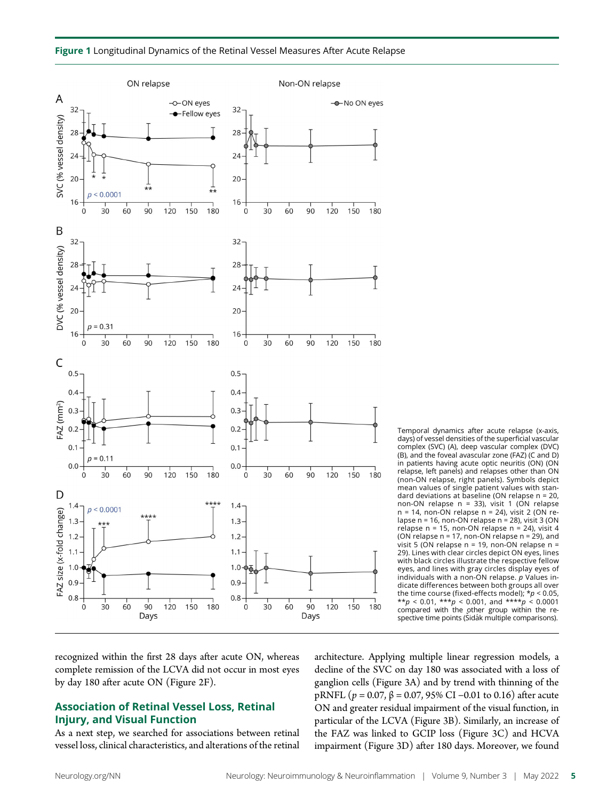



Temporal dynamics after acute relapse (x-axis, days) of vessel densities of the superficial vascular complex (SVC) (A), deep vascular complex (DVC) (B), and the foveal avascular zone (FAZ) (C and D) in patients having acute optic neuritis (ON) (ON relapse, left panels) and relapses other than ON (non-ON relapse, right panels). Symbols depict mean values of single patient values with standard deviations at baseline (ON relapse n = 20, non-ON relapse  $n = 33$ ), visit 1 (ON relapse  $n = 14$ , non-ON relapse  $n = 24$ ), visit 2 (ON relapse n = 16, non-ON relapse n = 28), visit 3 (ON relapse n = 15, non-ON relapse n = 24), visit 4 (ON relapse n = 17, non-ON relapse n = 29), and visit 5 (ON relapse  $n = 19$ , non-ON relapse  $n =$ 29). Lines with clear circles depict ON eyes, lines with black circles illustrate the respective fellow eyes, and lines with gray circles display eyes of individuals with a non-ON relapse.  $p$  Values indicate differences between both groups all over the time course (fixed-effects model);  $* p < 0.05$ ,  $* p < 0.01$ ,  $* * p < 0.001$ , and  $* * * p < 0.0001$  $*$ <sub>*r*</sub> $p$  < 0.01,  $*$ <sup>\*</sup>*r*<sub>*p*</sub> < 0.001, and  $*$ *\*\*\*<sup><i>p*</sup></sup> compared with the other group within the respective time points (Sidák multiple comparisons).

recognized within the first 28 days after acute ON, whereas complete remission of the LCVA did not occur in most eyes by day 180 after acute ON (Figure 2F).

### Association of Retinal Vessel Loss, Retinal Injury, and Visual Function

As a next step, we searched for associations between retinal vessel loss, clinical characteristics, and alterations of the retinal architecture. Applying multiple linear regression models, a decline of the SVC on day 180 was associated with a loss of ganglion cells (Figure 3A) and by trend with thinning of the pRNFL ( $p = 0.07$ ,  $β = 0.07$ , 95% CI –0.01 to 0.16) after acute ON and greater residual impairment of the visual function, in particular of the LCVA (Figure 3B). Similarly, an increase of the FAZ was linked to GCIP loss (Figure 3C) and HCVA impairment (Figure 3D) after 180 days. Moreover, we found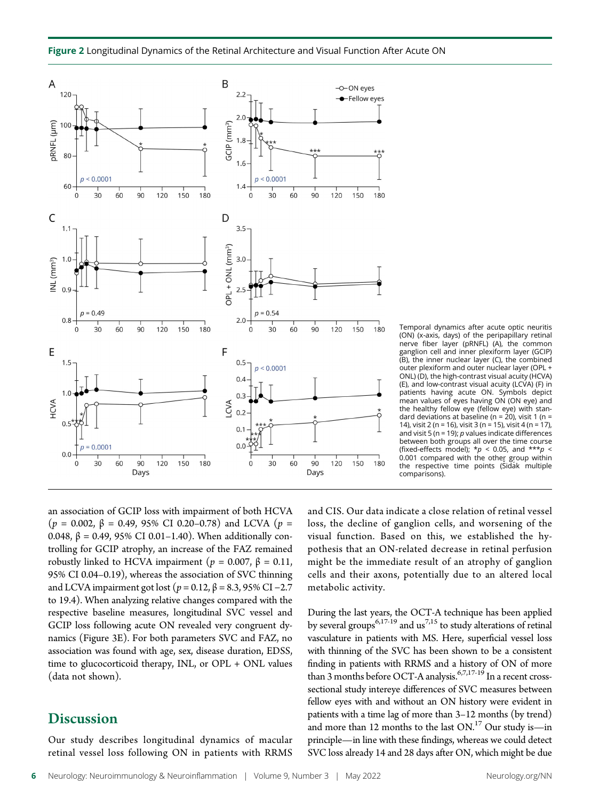

Temporal dynamics after acute optic neuritis (ON) (x-axis, days) of the peripapillary retinal nerve fiber layer (pRNFL) (A), the common ganglion cell and inner plexiform layer (GCIP) (B), the inner nuclear layer (C), the combined outer plexiform and outer nuclear layer (OPL + ONL) (D), the high-contrast visual acuity (HCVA) (E), and low-contrast visual acuity (LCVA) (F) in patients having acute ON. Symbols depict mean values of eyes having ON (ON eye) and the healthy fellow eye (fellow eye) with standard deviations at baseline ( $n = 20$ ), visit 1 ( $n =$ 14), visit 2 (n = 16), visit 3 (n = 15), visit 4 (n = 17), and visit 5 (n = 19);  $p$  values indicate differences between both groups all over the time course (fixed-effects model);  $* p < 0.05$ , and  $*** p <$ 0.001 compared with the other group within the respective time points (Sidák multiple comparisons).

an association of GCIP loss with impairment of both HCVA (p = 0.002,  $\beta$  = 0.49, 95% CI 0.20–0.78) and LCVA (p = 0.048, β = 0.49, 95% CI 0.01–1.40). When additionally controlling for GCIP atrophy, an increase of the FAZ remained robustly linked to HCVA impairment ( $p = 0.007$ , β = 0.11, 95% CI 0.04–0.19), whereas the association of SVC thinning and LCVA impairment got lost ( $p = 0.12$ , β = 8.3, 95% CI –2.7 to 19.4). When analyzing relative changes compared with the respective baseline measures, longitudinal SVC vessel and GCIP loss following acute ON revealed very congruent dynamics (Figure 3E). For both parameters SVC and FAZ, no association was found with age, sex, disease duration, EDSS, time to glucocorticoid therapy, INL, or OPL + ONL values (data not shown).

## **Discussion**

Our study describes longitudinal dynamics of macular retinal vessel loss following ON in patients with RRMS and CIS. Our data indicate a close relation of retinal vessel loss, the decline of ganglion cells, and worsening of the visual function. Based on this, we established the hypothesis that an ON-related decrease in retinal perfusion might be the immediate result of an atrophy of ganglion cells and their axons, potentially due to an altered local metabolic activity.

During the last years, the OCT-A technique has been applied by several groups<sup>6,17-19</sup> and us<sup>7,15</sup> to study alterations of retinal vasculature in patients with MS. Here, superficial vessel loss with thinning of the SVC has been shown to be a consistent finding in patients with RRMS and a history of ON of more than 3 months before OCT-A analysis.<sup>6,7,17-19</sup> In a recent crosssectional study intereye differences of SVC measures between fellow eyes with and without an ON history were evident in patients with a time lag of more than 3–12 months (by trend) and more than 12 months to the last  $ON.^{17}$  Our study is—in principle—in line with these findings, whereas we could detect SVC loss already 14 and 28 days after ON, which might be due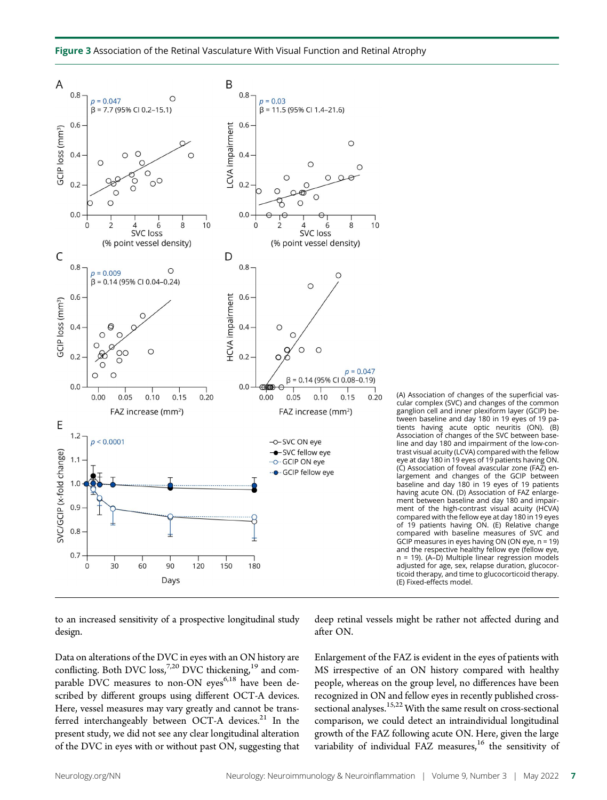

(A) Association of changes of the superficial vascular complex (SVC) and changes of the common ganglion cell and inner plexiform layer (GCIP) between baseline and day 180 in 19 eyes of 19 patients having acute optic neuritis (ON). (B) Association of changes of the SVC between baseline and day 180 and impairment of the low-contrast visual acuity (LCVA) compared with the fellow eye at day 180 in 19 eyes of 19 patients having ON. (C) Association of foveal avascular zone (FAZ) enlargement and changes of the GCIP between baseline and day 180 in 19 eyes of 19 patients having acute ON. (D) Association of FAZ enlargement between baseline and day 180 and impairment of the high-contrast visual acuity (HCVA) compared with the fellow eye at day 180 in 19 eyes of 19 patients having ON. (E) Relative change compared with baseline measures of SVC and GCIP measures in eyes having ON (ON eye,  $n = 19$ ) and the respective healthy fellow eye (fellow eye, n = 19). (A–D) Multiple linear regression models adjusted for age, sex, relapse duration, glucocorticoid therapy, and time to glucocorticoid therapy. (E) Fixed-effects model.

to an increased sensitivity of a prospective longitudinal study design.

Data on alterations of the DVC in eyes with an ON history are conflicting. Both DVC loss,<sup>7,20</sup> DVC thickening,<sup>19</sup> and comparable DVC measures to non-ON eyes<sup>6,18</sup> have been described by different groups using different OCT-A devices. Here, vessel measures may vary greatly and cannot be transferred interchangeably between OCT-A devices. $21$  In the present study, we did not see any clear longitudinal alteration of the DVC in eyes with or without past ON, suggesting that

deep retinal vessels might be rather not affected during and after ON.

Enlargement of the FAZ is evident in the eyes of patients with MS irrespective of an ON history compared with healthy people, whereas on the group level, no differences have been recognized in ON and fellow eyes in recently published crosssectional analyses.<sup>15,22</sup> With the same result on cross-sectional comparison, we could detect an intraindividual longitudinal growth of the FAZ following acute ON. Here, given the large variability of individual FAZ measures,<sup>16</sup> the sensitivity of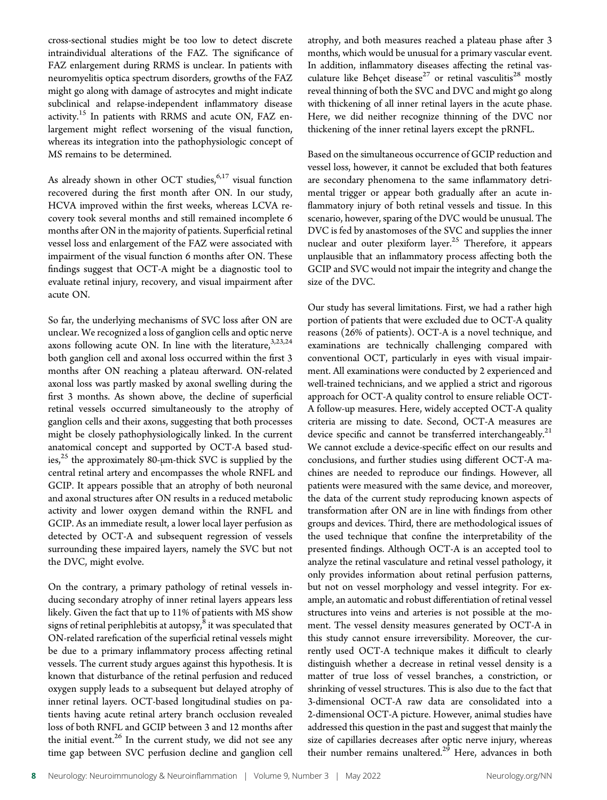cross-sectional studies might be too low to detect discrete intraindividual alterations of the FAZ. The significance of FAZ enlargement during RRMS is unclear. In patients with neuromyelitis optica spectrum disorders, growths of the FAZ might go along with damage of astrocytes and might indicate subclinical and relapse-independent inflammatory disease activity.<sup>15</sup> In patients with RRMS and acute ON, FAZ enlargement might reflect worsening of the visual function, whereas its integration into the pathophysiologic concept of MS remains to be determined.

As already shown in other OCT studies,  $6.17$  visual function recovered during the first month after ON. In our study, HCVA improved within the first weeks, whereas LCVA recovery took several months and still remained incomplete 6 months after ON in the majority of patients. Superficial retinal vessel loss and enlargement of the FAZ were associated with impairment of the visual function 6 months after ON. These findings suggest that OCT-A might be a diagnostic tool to evaluate retinal injury, recovery, and visual impairment after acute ON.

So far, the underlying mechanisms of SVC loss after ON are unclear. We recognized a loss of ganglion cells and optic nerve axons following acute ON. In line with the literature,  $3,23,24$ both ganglion cell and axonal loss occurred within the first 3 months after ON reaching a plateau afterward. ON-related axonal loss was partly masked by axonal swelling during the first 3 months. As shown above, the decline of superficial retinal vessels occurred simultaneously to the atrophy of ganglion cells and their axons, suggesting that both processes might be closely pathophysiologically linked. In the current anatomical concept and supported by OCT-A based studies, $25$  the approximately 80-µm-thick SVC is supplied by the central retinal artery and encompasses the whole RNFL and GCIP. It appears possible that an atrophy of both neuronal and axonal structures after ON results in a reduced metabolic activity and lower oxygen demand within the RNFL and GCIP. As an immediate result, a lower local layer perfusion as detected by OCT-A and subsequent regression of vessels surrounding these impaired layers, namely the SVC but not the DVC, might evolve.

On the contrary, a primary pathology of retinal vessels inducing secondary atrophy of inner retinal layers appears less likely. Given the fact that up to 11% of patients with MS show signs of retinal periphlebitis at autopsy, $^8$  it was speculated that ON-related rarefication of the superficial retinal vessels might be due to a primary inflammatory process affecting retinal vessels. The current study argues against this hypothesis. It is known that disturbance of the retinal perfusion and reduced oxygen supply leads to a subsequent but delayed atrophy of inner retinal layers. OCT-based longitudinal studies on patients having acute retinal artery branch occlusion revealed loss of both RNFL and GCIP between 3 and 12 months after the initial event.<sup>26</sup> In the current study, we did not see any time gap between SVC perfusion decline and ganglion cell atrophy, and both measures reached a plateau phase after 3 months, which would be unusual for a primary vascular event. In addition, inflammatory diseases affecting the retinal vasculature like Behçet disease<sup>27</sup> or retinal vasculitis<sup>28</sup> mostly reveal thinning of both the SVC and DVC and might go along with thickening of all inner retinal layers in the acute phase. Here, we did neither recognize thinning of the DVC nor thickening of the inner retinal layers except the pRNFL.

Based on the simultaneous occurrence of GCIP reduction and vessel loss, however, it cannot be excluded that both features are secondary phenomena to the same inflammatory detrimental trigger or appear both gradually after an acute inflammatory injury of both retinal vessels and tissue. In this scenario, however, sparing of the DVC would be unusual. The DVC is fed by anastomoses of the SVC and supplies the inner nuclear and outer plexiform layer.<sup>25</sup> Therefore, it appears unplausible that an inflammatory process affecting both the GCIP and SVC would not impair the integrity and change the size of the DVC.

Our study has several limitations. First, we had a rather high portion of patients that were excluded due to OCT-A quality reasons (26% of patients). OCT-A is a novel technique, and examinations are technically challenging compared with conventional OCT, particularly in eyes with visual impairment. All examinations were conducted by 2 experienced and well-trained technicians, and we applied a strict and rigorous approach for OCT-A quality control to ensure reliable OCT-A follow-up measures. Here, widely accepted OCT-A quality criteria are missing to date. Second, OCT-A measures are device specific and cannot be transferred interchangeably.<sup>21</sup> We cannot exclude a device-specific effect on our results and conclusions, and further studies using different OCT-A machines are needed to reproduce our findings. However, all patients were measured with the same device, and moreover, the data of the current study reproducing known aspects of transformation after ON are in line with findings from other groups and devices. Third, there are methodological issues of the used technique that confine the interpretability of the presented findings. Although OCT-A is an accepted tool to analyze the retinal vasculature and retinal vessel pathology, it only provides information about retinal perfusion patterns, but not on vessel morphology and vessel integrity. For example, an automatic and robust differentiation of retinal vessel structures into veins and arteries is not possible at the moment. The vessel density measures generated by OCT-A in this study cannot ensure irreversibility. Moreover, the currently used OCT-A technique makes it difficult to clearly distinguish whether a decrease in retinal vessel density is a matter of true loss of vessel branches, a constriction, or shrinking of vessel structures. This is also due to the fact that 3-dimensional OCT-A raw data are consolidated into a 2-dimensional OCT-A picture. However, animal studies have addressed this question in the past and suggest that mainly the size of capillaries decreases after optic nerve injury, whereas their number remains unaltered.<sup>29</sup> Here, advances in both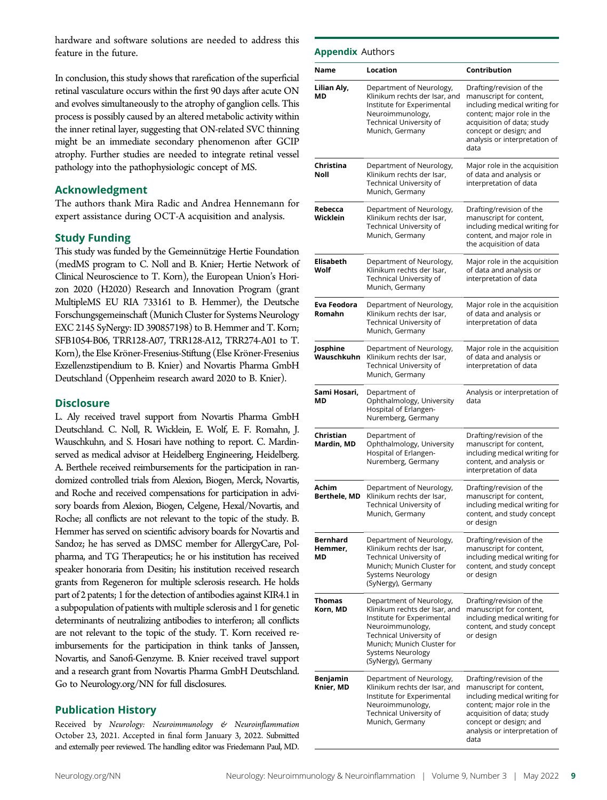hardware and software solutions are needed to address this feature in the future.

In conclusion, this study shows that rarefication of the superficial retinal vasculature occurs within the first 90 days after acute ON and evolves simultaneously to the atrophy of ganglion cells. This process is possibly caused by an altered metabolic activity within the inner retinal layer, suggesting that ON-related SVC thinning might be an immediate secondary phenomenon after GCIP atrophy. Further studies are needed to integrate retinal vessel pathology into the pathophysiologic concept of MS.

### Acknowledgment

The authors thank Mira Radic and Andrea Hennemann for expert assistance during OCT-A acquisition and analysis.

### Study Funding

This study was funded by the Gemeinnützige Hertie Foundation (medMS program to C. Noll and B. Knier; Hertie Network of Clinical Neuroscience to T. Korn), the European Union's Horizon 2020 (H2020) Research and Innovation Program (grant MultipleMS EU RIA 733161 to B. Hemmer), the Deutsche Forschungsgemeinschaft (Munich Cluster for Systems Neurology EXC 2145 SyNergy: ID 390857198) to B. Hemmer and T. Korn; SFB1054-B06, TRR128-A07, TRR128-A12, TRR274-A01 to T. Korn), the Else Kröner-Fresenius-Stiftung (Else Kröner-Fresenius Exzellenzstipendium to B. Knier) and Novartis Pharma GmbH Deutschland (Oppenheim research award 2020 to B. Knier).

### **Disclosure**

L. Aly received travel support from Novartis Pharma GmbH Deutschland. C. Noll, R. Wicklein, E. Wolf, E. F. Romahn, J. Wauschkuhn, and S. Hosari have nothing to report. C. Mardinserved as medical advisor at Heidelberg Engineering, Heidelberg. A. Berthele received reimbursements for the participation in randomized controlled trials from Alexion, Biogen, Merck, Novartis, and Roche and received compensations for participation in advisory boards from Alexion, Biogen, Celgene, Hexal/Novartis, and Roche; all conflicts are not relevant to the topic of the study. B. Hemmer has served on scientific advisory boards for Novartis and Sandoz; he has served as DMSC member for AllergyCare, Polpharma, and TG Therapeutics; he or his institution has received speaker honoraria from Desitin; his institution received research grants from Regeneron for multiple sclerosis research. He holds part of 2 patents; 1 for the detection of antibodies against KIR4.1 in a subpopulation of patients with multiple sclerosis and 1 for genetic determinants of neutralizing antibodies to interferon; all conflicts are not relevant to the topic of the study. T. Korn received reimbursements for the participation in think tanks of Janssen, Novartis, and Sanofi-Genzyme. B. Knier received travel support and a research grant from Novartis Pharma GmbH Deutschland. Go to [Neurology.org/NN](https://nn.neurology.org/content/9/3/e1159/tab-article-info) for full disclosures.

### Publication History

Received by Neurology: Neuroimmunology & Neuroinflammation October 23, 2021. Accepted in final form January 3, 2022. Submitted and externally peer reviewed. The handling editor was Friedemann Paul, MD.

### **Annendix Authors**

| Name                      | Location                                                                                                                                                                                                        | Contribution                                                                                                                                                                                                        |
|---------------------------|-----------------------------------------------------------------------------------------------------------------------------------------------------------------------------------------------------------------|---------------------------------------------------------------------------------------------------------------------------------------------------------------------------------------------------------------------|
| Lilian Aly,<br>MD         | Department of Neurology,<br>Klinikum rechts der Isar, and<br>Institute for Experimental<br>Neuroimmunology,<br><b>Technical University of</b><br>Munich, Germany                                                | Drafting/revision of the<br>manuscript for content,<br>including medical writing for<br>content; major role in the<br>acquisition of data; study<br>concept or design; and<br>analysis or interpretation of<br>data |
| Christina<br>Noll         | Department of Neurology,<br>Klinikum rechts der Isar,<br>Technical University of<br>Munich, Germany                                                                                                             | Major role in the acquisition<br>of data and analysis or<br>interpretation of data                                                                                                                                  |
| Rebecca<br>Wicklein       | Department of Neurology,<br>Klinikum rechts der Isar,<br>Technical University of<br>Munich, Germany                                                                                                             | Drafting/revision of the<br>manuscript for content,<br>including medical writing for<br>content, and major role in<br>the acquisition of data                                                                       |
| Elisabeth<br>Wolf         | Department of Neurology,<br>Klinikum rechts der Isar,<br>Technical University of<br>Munich, Germany                                                                                                             | Major role in the acquisition<br>of data and analysis or<br>interpretation of data                                                                                                                                  |
| Eva Feodora<br>Romahn     | Department of Neurology,<br>Klinikum rechts der Isar,<br>Technical University of<br>Munich, Germany                                                                                                             | Major role in the acquisition<br>of data and analysis or<br>interpretation of data                                                                                                                                  |
| Josphine<br>Wauschkuhn    | Department of Neurology,<br>Klinikum rechts der Isar,<br>Technical University of<br>Munich, Germany                                                                                                             | Major role in the acquisition<br>of data and analysis or<br>interpretation of data                                                                                                                                  |
| Sami Hosari,<br>МD        | Department of<br>Ophthalmology, University<br>Hospital of Erlangen-<br>Nuremberg, Germany                                                                                                                       | Analysis or interpretation of<br>data                                                                                                                                                                               |
| Christian<br>Mardin, MD   | Department of<br>Ophthalmology, University<br>Hospital of Erlangen-<br>Nuremberg, Germany                                                                                                                       | Drafting/revision of the<br>manuscript for content,<br>including medical writing for<br>content, and analysis or<br>interpretation of data                                                                          |
| Achim<br>Berthele, MD     | Department of Neurology,<br>Klinikum rechts der Isar,<br>Technical University of<br>Munich, Germany                                                                                                             | Drafting/revision of the<br>manuscript for content,<br>including medical writing for<br>content, and study concept<br>or design                                                                                     |
| Bernhard<br>Hemmer,<br>МD | Department of Neurology,<br>Klinikum rechts der Isar,<br>Technical University of<br>Munich; Munich Cluster for<br>Systems Neurology<br>(SyNergy), Germany                                                       | Drafting/revision of the<br>manuscript for content,<br>including medical writing for<br>content, and study concept<br>or design                                                                                     |
| Thomas<br>Korn, MD        | Department of Neurology,<br>Klinikum rechts der Isar, and<br>Institute for Experimental<br>Neuroimmunology,<br>Technical University of<br>Munich; Munich Cluster for<br>Systems Neurology<br>(SyNergy), Germany | Drafting/revision of the<br>manuscript for content,<br>including medical writing for<br>content, and study concept<br>or design                                                                                     |
| Benjamin<br>Knier, MD     | Department of Neurology,<br>Klinikum rechts der Isar, and<br>Institute for Experimental<br>Neuroimmunology,<br>Technical University of<br>Munich, Germany                                                       | Drafting/revision of the<br>manuscript for content,<br>including medical writing for<br>content; major role in the<br>acquisition of data; study<br>concept or design; and<br>analysis or interpretation of<br>data |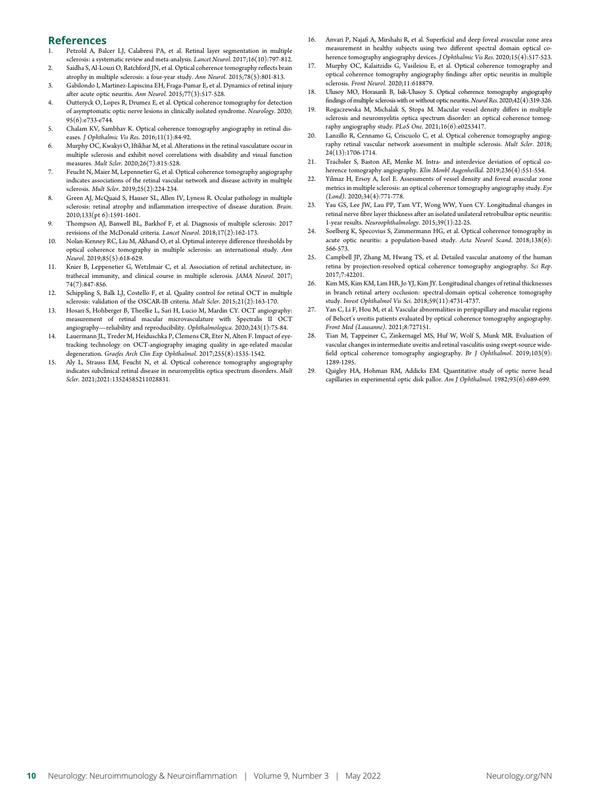# **References**<br>1. Petzold A. Bal-

- 1. Petzold A, Balcer LJ, Calabresi PA, et al. Retinal layer segmentation in multiple sclerosis: a systematic review and meta-analysis. Lancet Neurol. 2017;16(10):797-812.
- Saidha S, Al-Louzi O, Ratchford JN, et al. Optical coherence tomography reflects brain atrophy in multiple sclerosis: a four-year study. Ann Neurol. 2015;78(5):801-813.
- 3. Gabilondo I, Martinez-Lapiscina EH, Fraga-Pumar E, et al. Dynamics of retinal injury after acute optic neuritis. Ann Neurol. 2015;77(3):517-528.
- 4. Outteryck O, Lopes R, Drumez E, et al. Optical coherence tomography for detection of asymptomatic optic nerve lesions in clinically isolated syndrome. Neurology. 2020; 95(6):e733-e744.
- 5. Chalam KV, Sambhav K. Optical coherence tomography angiography in retinal diseases. J Ophthalmic Vis Res. 2016;11(1):84-92.
- 6. Murphy OC, Kwakyi O, Iftikhar M, et al. Alterations in the retinal vasculature occur in multiple sclerosis and exhibit novel correlations with disability and visual function measures. Mult Scler. 2020;26(7):815-528.
- 7. Feucht N, Maier M, Lepennetier G, et al. Optical coherence tomography angiography indicates associations of the retinal vascular network and disease activity in multiple sclerosis. Mult Scler. 2019;25(2):224-234.
- 8. Green AJ, McQuaid S, Hauser SL, Allen IV, Lyness R. Ocular pathology in multiple sclerosis: retinal atrophy and inflammation irrespective of disease duration. Brain. 2010;133(pt 6):1591-1601.
- 9. Thompson AJ, Banwell BL, Barkhof F, et al. Diagnosis of multiple sclerosis: 2017 revisions of the McDonald criteria. Lancet Neurol. 2018;17(2):162-173.
- 10. Nolan-Kenney RC, Liu M, Akhand O, et al. Optimal intereye difference thresholds by optical coherence tomography in multiple sclerosis: an international study. Ann Neurol. 2019;85(5):618-629.
- 11. Knier B, Leppenetier G, Wetzlmair C, et al. Association of retinal architecture, intrathecal immunity, and clinical course in multiple sclerosis. JAMA Neurol. 2017; 74(7):847-856.
- 12. Schippling S, Balk LJ, Costello F, et al. Quality control for retinal OCT in multiple sclerosis: validation of the OSCAR-IB criteria. Mult Scler. 2015;21(2):163-170.
- 13. Hosari S, Hohberger B, Theelke L, Sari H, Lucio M, Mardin CY. OCT angiography: measurement of retinal macular microvasculature with Spectralis II OCT angiography—reliability and reproducibility. Ophthalmologica. 2020;243(1):75-84.
- 14. Lauermann JL, Treder M, Heiduschka P, Clemens CR, Eter N, Alten F. Impact of eyetracking technology on OCT-angiography imaging quality in age-related macular degeneration. Graefes Arch Clin Exp Ophthalmol. 2017;255(8):1535-1542.
- 15. Aly L, Strauss EM, Feucht N, et al. Optical coherence tomography angiography indicates subclinical retinal disease in neuromyelitis optica spectrum disorders. Mult Scler. 2021;2021:13524585211028831.
- 16. Anvari P, Najafi A, Mirshahi R, et al. Superficial and deep foveal avascular zone area measurement in healthy subjects using two different spectral domain optical coherence tomography angiography devices. J Ophthalmic Vis Res. 2020;15(4):517-523.
- 17. Murphy OC, Kalaitzidis G, Vasileiou E, et al. Optical coherence tomography and optical coherence tomography angiography findings after optic neuritis in multiple sclerosis. Front Neurol. 2020;11:618879.
- 18. Ulusoy MO, Horasanli B, Isik-Ulusoy S. Optical coherence tomography angiography findings of multiple sclerosis with or without optic neuritis.Neurol Res. 2020;42(4):319-326.
- 19. Rogaczewska M, Michalak S, Stopa M. Macular vessel density differs in multiple sclerosis and neuromyelitis optica spectrum disorder: an optical coherence tomography angiography study. PLoS One. 2021;16(6):e0253417.
- 20. Lanzillo R, Cennamo G, Criscuolo C, et al. Optical coherence tomography angiography retinal vascular network assessment in multiple sclerosis. Mult Scler. 2018; 24(13):1706-1714.
- 21. Trachsler S, Baston AE, Menke M. Intra- and interdevice deviation of optical coherence tomography angiography. Klin Monbl Augenheilkd. 2019;236(4):551-554.
- 22. Yilmaz H, Ersoy A, Icel E. Assessments of vessel density and foveal avascular zone metrics in multiple sclerosis: an optical coherence tomography angiography study. Eye (Lond). 2020;34(4):771-778.
- 23. Yau GS, Lee JW, Lau PP, Tam VT, Wong WW, Yuen CY. Longitudinal changes in retinal nerve fibre layer thickness after an isolated unilateral retrobulbar optic neuritis: 1-year results. Neuroophthalmology. 2015;39(1):22-25.
- 24. Soelberg K, Specovius S, Zimmermann HG, et al. Optical coherence tomography in acute optic neuritis: a population-based study. Acta Neurol Scand. 2018;138(6): 566-573.
- 25. Campbell JP, Zhang M, Hwang TS, et al. Detailed vascular anatomy of the human retina by projection-resolved optical coherence tomography angiography. Sci Rep. 2017;7:42201.
- 26. Kim MS, Kim KM, Lim HB, Jo YJ, Kim JY. Longitudinal changes of retinal thicknesses in branch retinal artery occlusion: spectral-domain optical coherence tomography study. Invest Ophthalmol Vis Sci. 2018;59(11):4731-4737.
- 27. Yan C, Li F, Hou M, et al. Vascular abnormalities in peripapillary and macular regions of Behcet's uveitis patients evaluated by optical coherence tomography angiography. Front Med (Lausanne). 2021;8:727151.
- 28. Tian M, Tappeiner C, Zinkernagel MS, Huf W, Wolf S, Munk MR. Evaluation of vascular changes in intermediate uveitis and retinal vasculitis using swept-source widefield optical coherence tomography angiography. Br J Ophthalmol. 2019;103(9): 1289-1295.
- 29. Quigley HA, Hohman RM, Addicks EM. Quantitative study of optic nerve head capillaries in experimental optic disk pallor. Am J Ophthalmol. 1982;93(6):689-699.